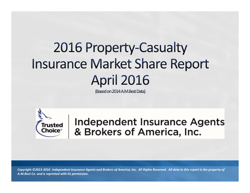# 2016 Property-Casualty **Insurance Market Share Report April 2016**

(Based on 2014 A.M.Best Data)



**Independent Insurance Agents** & Brokers of America, Inc.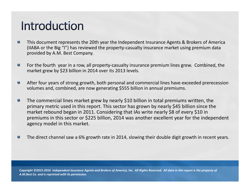## Introduction

- This document represents the 20th year the Independent Insurance Agents & Brokers of America  $\bullet$ (IIABA or the Big "I") has reviewed the property‐casualty insurance market using premium data provided by A.M. Best Company.
- $\bullet$ For the fourth year in <sup>a</sup> row, all property‐casualty insurance premium lines grew. Combined, the market grew by \$23 billion in 2014 over its 2013 levels.
- $\bullet$ After four years of strong growth, both personal and commercial lines have exceeded prerecession volumes and, combined, are now generating \$555 billion in annual premiums.
- The commercial lines market grew by nearly \$10 billion in total premiums written, the  $\bullet$ primary metric used in this report. This sector has grown by nearly \$45 billion since the market rebound began in 2011. Considering that IAs write nearly \$8 of every \$10 in premiums in this sector or \$225 billion, 2014 was another excellent year for the independent agency model in this market.
- $\bullet$ The direct channel saw <sup>a</sup> 6% growth rate in 2014, slowing their double digit growth in recent years.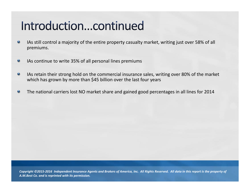## Introduction...continued

- IAs still control <sup>a</sup> majority of the entire property casualty market, writing just over 58% of all  $\bullet$ premiums.
- $\bullet$ IAs continue to write 35% of all personal lines premiums
- $\bullet$ IAs retain their strong hold on the commercial insurance sales, writing over 80% of the market which has grown by more than \$45 billion over the last four years
- The national carriers lost NO market share and gained good percentages in all lines for 2014  $\bullet$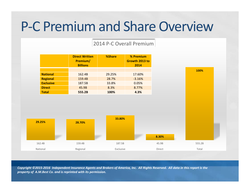# P-C Premium and Share Overview

#### 2014 P‐C Overall Premium

|                  | <b>Direct Written</b><br>Premium/<br><b>Billions</b> | %Share    | % Premium<br>Growth 2013 to<br>2014 |
|------------------|------------------------------------------------------|-----------|-------------------------------------|
|                  |                                                      |           |                                     |
| <b>National</b>  | 162.4B                                               | 29.25%    | 17.60%                              |
| Regional         | 159.4B                                               | 28.7%     | $-3.16%$                            |
| <b>Exclusive</b> | 187.5B                                               | 33.8%     | 0.05%                               |
| <b>Direct</b>    | 45.9B                                                | 8.3%      | 8.77%                               |
| <b>Total</b>     | 555.2B                                               | 100%      | 4.3%                                |
|                  |                                                      | 33.80%    |                                     |
| 29.25%           | 28.70%                                               |           |                                     |
| 162.4B           | 159.4B                                               | 187.5B    |                                     |
| National         | Regional                                             | Exclusive |                                     |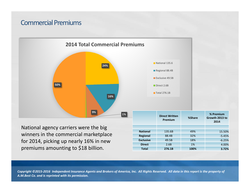#### **Commercial Premiums**

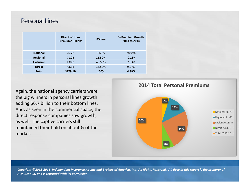#### **Personal Lines**

|                  | <b>Direct Written</b><br><b>Premium/Billions</b> | %Share | % Premium Growth<br>2013 to 2014 |  |  |
|------------------|--------------------------------------------------|--------|----------------------------------|--|--|
|                  |                                                  |        |                                  |  |  |
| <b>National</b>  | 26.7B                                            | 9.60%  | 28.99%                           |  |  |
| <b>Regional</b>  | 71.0B                                            | 25.50% | $-0.28%$                         |  |  |
| <b>Exclusive</b> | 138.B                                            | 49.50% | 2.53%                            |  |  |
| <b>Direct</b>    | 43.3B                                            | 15.50% | 9.07%                            |  |  |
| <b>Total</b>     | \$279.1B                                         | 100%   | 4.89%                            |  |  |

Again, the national agency carriers were the big winners in personal lines growth adding \$6.7 billion to their bottom lines. And, as seen in the commercial space, the direct response companies saw growth, as well. The captive carriers still maintained their hold on about ½ of the market.

**2014 Total Personal Premiums**

![](_page_5_Figure_4.jpeg)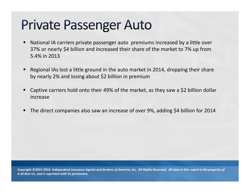# **Private Passenger Auto**

- National IA carriers private passenger auto premiums increased by <sup>a</sup> little over 37% or nearly \$4 billion and increased their share of the market to 7% up from 5.4% in 2013
- Regional IAs lost <sup>a</sup> little ground in the auto market in 2014, dropping their share by nearly 2% and losing about \$2 billion in premium
- Captive carriers hold onto their 49% of the market, as they saw <sup>a</sup> \$2 billion dollar increase
- **The direct companies also saw an increase of over 9%, adding \$4 billion for 2014**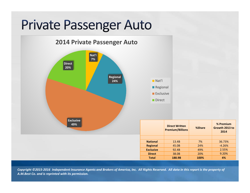# **Private Passenger Auto**

![](_page_7_Figure_1.jpeg)

Copyright ©2015-2016 Independent Insurance Agents and Brokers of America, Inc. All Rights Reserved. All data in this report is the property of *A.M.Best Co. and is reprinted with its permission.*

**Exclusive**

**Direct**

**% PremiumGrowth 2013 to2014**

36.73%

2.55%

9.20%

**Regional** 45.0B 24% **-4.26%** 

92.4B 49%

38.0B 20%

**Total 188.9B 100% 4%**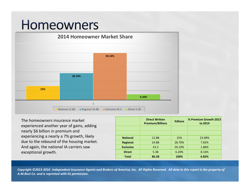### Homeowners

![](_page_8_Figure_1.jpeg)

The homeowners insurance market experienced another year of gains, adding nearly \$6 billion in premium and experiencing <sup>a</sup> nearly <sup>a</sup> 7% growth, likely due to the rebound of the housing market. And again, the national IA carriers saw exceptional growth.

|                  | <b>Direct Written</b><br><b>Premium/Billions</b> | %Share | % Premium Growth 2013<br>to 2014 |  |  |
|------------------|--------------------------------------------------|--------|----------------------------------|--|--|
|                  |                                                  |        |                                  |  |  |
|                  |                                                  |        |                                  |  |  |
| <b>National</b>  | 12.8B                                            | 15%    | 23.08%                           |  |  |
| <b>Regional</b>  | 24.8B                                            | 28.70% | 7.83%                            |  |  |
| <b>Exclusive</b> | 43.3                                             | 50.10% | 1.88%                            |  |  |
| <b>Direct</b>    | 5.3B                                             | 6.20%  | 8.16%                            |  |  |
| <b>Total</b>     | 86.2B                                            | 100%   | 6.82%                            |  |  |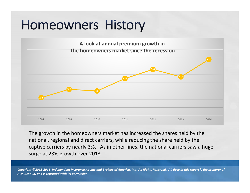# **Homeowners History**

![](_page_9_Figure_1.jpeg)

The growth in the homeowners market has increased the shares held by the national, regional and direct carriers, while reducing the share held by the captive carriers by nearly 3%. As in other lines, the national carriers saw <sup>a</sup> huge surge at 23% growth over 2013.

2008 2009 2010 2011 2012 2013 2014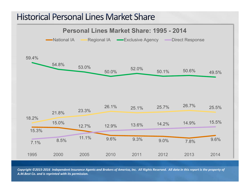### **Historical Personal Lines Market Share**

![](_page_10_Figure_1.jpeg)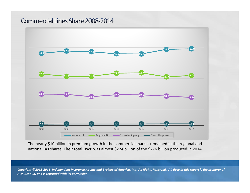#### **Commercial Lines Share 2008-2014**

![](_page_11_Figure_1.jpeg)

The nearly \$10 billion in premium growth in the commercial market remained in the regional and national IAs shares. Their total DWP was almost \$224 billion of the \$276 billion produced in 2014.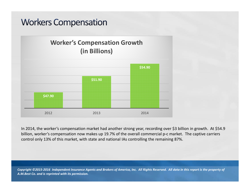### **Workers Compensation**

#### **Worker's Compensation Growth (in Billions)**

![](_page_12_Figure_2.jpeg)

In 2014, the worker's compensation market had another strong year, recording over \$3 billion in growth. At \$54.9 billion, worker's compensation now makes up 19.7% of the overall commercial p-c market. The captive carriers control only 13% of this market, with state and national IAs controlling the remaining 87%.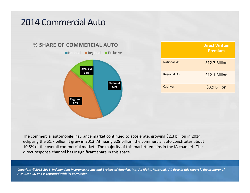### **2014 Commercial Auto**

![](_page_13_Figure_1.jpeg)

|                     | <b>Direct Written</b><br><b>Premium</b> |
|---------------------|-----------------------------------------|
| <b>National IAs</b> | \$12.7 Billion                          |
| <b>Regional IAs</b> | \$12.1 Billion                          |
| Captives            | \$3.9 Billion                           |

The commercial automobile insurance market continued to accelerate, growing \$2.3 billion in 2014, eclipsing the \$1.7 billion it grew in 2013. At nearly \$29 billion, the commercial auto constitutes about 10.5% of the overall commercial market. The majority of this market remains in the IA channel. The direct response channel has insignificant share in this space.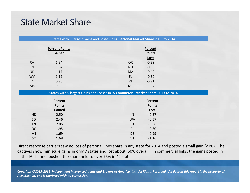### **State Market Share**

|           | <b>Percent Points</b> | Percent                                                                           |  |
|-----------|-----------------------|-----------------------------------------------------------------------------------|--|
| Gained    |                       | <b>Points</b>                                                                     |  |
|           |                       | Lost                                                                              |  |
| <b>CA</b> | 1.34                  | $-0.39$<br><b>OR</b>                                                              |  |
| IN        | 1.34                  | $-0.39$<br><b>NH</b>                                                              |  |
| <b>ND</b> | 1.17                  | $-0.49$<br><b>MA</b>                                                              |  |
| <b>WV</b> | 1.12                  | FL.<br>$-0.50$                                                                    |  |
| <b>TN</b> | 0.96                  | VT<br>$-0.91$                                                                     |  |
| <b>MS</b> | 0.95                  | <b>ME</b><br>$-1.07$                                                              |  |
|           |                       | States with 5 largest Gains and Losses in IA Commercial Market Share 2013 to 2014 |  |
|           | Percent               | Percent                                                                           |  |
|           | <b>Points</b>         | <b>Points</b>                                                                     |  |
|           | Gained                | <b>Lost</b>                                                                       |  |
|           |                       |                                                                                   |  |
| <b>ND</b> | 2.50                  | IN<br>$-0.57$                                                                     |  |
| <b>SD</b> | 2.46                  | $-0.57$<br><b>WV</b>                                                              |  |
| <b>TN</b> | 2.05                  | $-0.66$<br>ID                                                                     |  |
| DC        | 1.95                  | $-0.80$<br><b>FL</b>                                                              |  |
| MT        | 1.69                  | DE<br>$-0.99$                                                                     |  |

Direct response carriers saw no loss of personal lines share in any state for 2014 and posted <sup>a</sup> small gain (<1%). The captives show miniscule gains in only 7 states and lost about .50% overall. In commercial links, the gains posted in in the IA channel pushed the share held to over 75% in 42 states.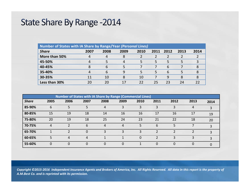### State Share By Range - 2014

| <b>Number of States with IA Share by Range/Year (Personal Lines)</b> |      |      |      |      |      |      |      |      |  |
|----------------------------------------------------------------------|------|------|------|------|------|------|------|------|--|
| <b>Share</b>                                                         | 2007 | 2008 | 2009 | 2010 | 2011 | 2012 | 2013 | 2014 |  |
| More than 50%                                                        | 4    | 4    | 8    |      |      |      |      |      |  |
| 45-50%                                                               |      | 5    | 4    | 5    | 5    | 5    | .5   | 3    |  |
| 40-45%                                                               |      | 6    |      |      |      | 6    |      |      |  |
| 35-40%                                                               |      | 6    | 9    | 5    | 5    | 6    | 5    |      |  |
| 30-35%                                                               | 11   | 10   | 8    | 10   |      | 9    | 8    |      |  |
| Less than 30%                                                        | 20   | 20   | 17   | 22   | 25   | 23   | 24   |      |  |

| <b>Number of States with IA Share by Range (Commercial Lines)</b> |          |          |          |      |      |          |          |          |      |      |
|-------------------------------------------------------------------|----------|----------|----------|------|------|----------|----------|----------|------|------|
| <b>Share</b>                                                      | 2005     | 2006     | 2007     | 2008 | 2009 | 2010     | 2011     | 2012     | 2013 | 2014 |
| 85-90%                                                            | 6        | 5        | 5        |      | 3    | 3        | 3        |          | 4    |      |
| 80-85%                                                            | 15       | 19       | 18       | 14   | 16   | 16       | 17       | 16       | 17   | 19   |
| 75-80%                                                            | 20       | 19       | 18       | 25   | 24   | 23       | 21       | 22       | 18   | 20   |
| 70-75%                                                            | 4        |          | 6        | 4    | 4    | 5        | 6        | 5        |      | 3    |
| 65-70%                                                            |          |          | $\Omega$ |      | 3    | 3        |          |          |      | 3    |
| 60-65%                                                            | 5        | 4        | 4        |      |      | $\Omega$ |          |          | 3    | ર    |
| 55-60%                                                            | $\Omega$ | $\Omega$ | $\Omega$ |      | 0    |          | $\Omega$ | $\Omega$ | 0    |      |